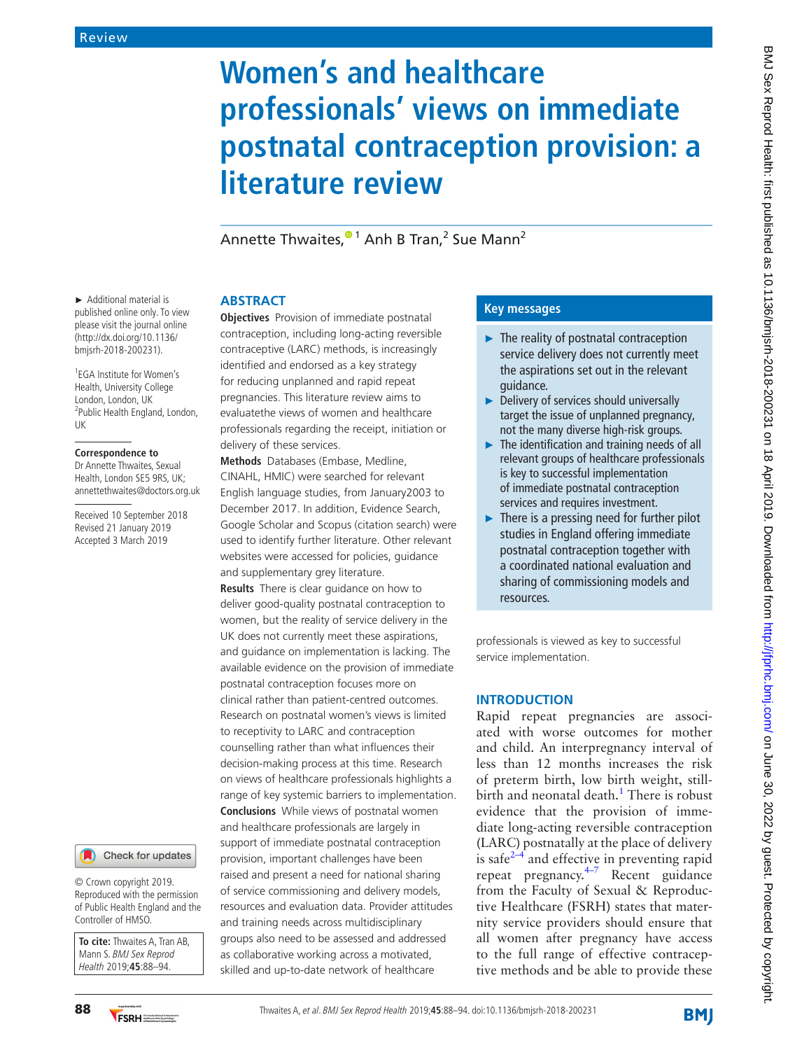# **Women's and healthcare professionals' views on immediate postnatal contraception provision: a literature review**

Annette Thwaites,<sup>® 1</sup> Anh B Tran,<sup>2</sup> Sue Mann<sup>2</sup>

### **Abstract**

**Objectives** Provision of immediate postnatal contraception, including long-acting reversible contraceptive (LARC) methods, is increasingly identified and endorsed as a key strategy for reducing unplanned and rapid repeat pregnancies. This literature review aims to evaluatethe views of women and healthcare professionals regarding the receipt, initiation or delivery of these services.

**Methods** Databases (Embase, Medline, CINAHL, HMIC) were searched for relevant English language studies, from January2003 to December 2017. In addition, Evidence Search, Google Scholar and Scopus (citation search) were used to identify further literature. Other relevant websites were accessed for policies, guidance and supplementary grey literature.

**Results** There is clear guidance on how to deliver good-quality postnatal contraception to women, but the reality of service delivery in the UK does not currently meet these aspirations, and guidance on implementation is lacking. The available evidence on the provision of immediate postnatal contraception focuses more on clinical rather than patient-centred outcomes. Research on postnatal women's views is limited to receptivity to LARC and contraception counselling rather than what influences their decision-making process at this time. Research on views of healthcare professionals highlights a range of key systemic barriers to implementation. **Conclusions** While views of postnatal women and healthcare professionals are largely in support of immediate postnatal contraception provision, important challenges have been raised and present a need for national sharing of service commissioning and delivery models, resources and evaluation data. Provider attitudes and training needs across multidisciplinary groups also need to be assessed and addressed as collaborative working across a motivated, skilled and up-to-date network of healthcare

### **Key messages**

- ► The reality of postnatal contraception service delivery does not currently meet the aspirations set out in the relevant guidance.
- ► Delivery of services should universally target the issue of unplanned pregnancy, not the many diverse high-risk groups.
- $\blacktriangleright$  The identification and training needs of all relevant groups of healthcare professionals is key to successful implementation of immediate postnatal contraception services and requires investment.
- $\blacktriangleright$  There is a pressing need for further pilot studies in England offering immediate postnatal contraception together with a coordinated national evaluation and sharing of commissioning models and resources.

professionals is viewed as key to successful service implementation.

### **Introduction**

Rapid repeat pregnancies are associated with worse outcomes for mother and child. An interpregnancy interval of less than 12 months increases the risk of preterm birth, low birth weight, stillbirth and neonatal death.<sup>1</sup> There is robust evidence that the provision of immediate long-acting reversible contraception (LARC) postnatally at the place of delivery is safe $2-4$  and effective in preventing rapid repeat pregnancy.[4–7](#page-5-1) Recent guidance from the Faculty of Sexual & Reproductive Healthcare (FSRH) states that maternity service providers should ensure that all women after pregnancy have access to the full range of effective contraceptive methods and be able to provide these

► Additional material is published online only. To view please visit the journal online (http://dx.doi.org/10.1136/ bmjsrh-2018-200231).

1 EGA Institute for Women's Health, University College London, London, UK <sup>2</sup>Public Health England, London, UK

### **Correspondence to**

Dr Annette Thwaites, Sexual Health, London SE5 9RS, UK; annettethwaites@doctors.org.uk

Received 10 September 2018 Revised 21 January 2019 Accepted 3 March 2019

Check for updates

© Crown copyright 2019. Reproduced with the permission of Public Health England and the Controller of HMSO.

**To cite:** Thwaites A, Tran AB, Mann S. BMJ Sex Reprod Health 2019;**45**:88–94.

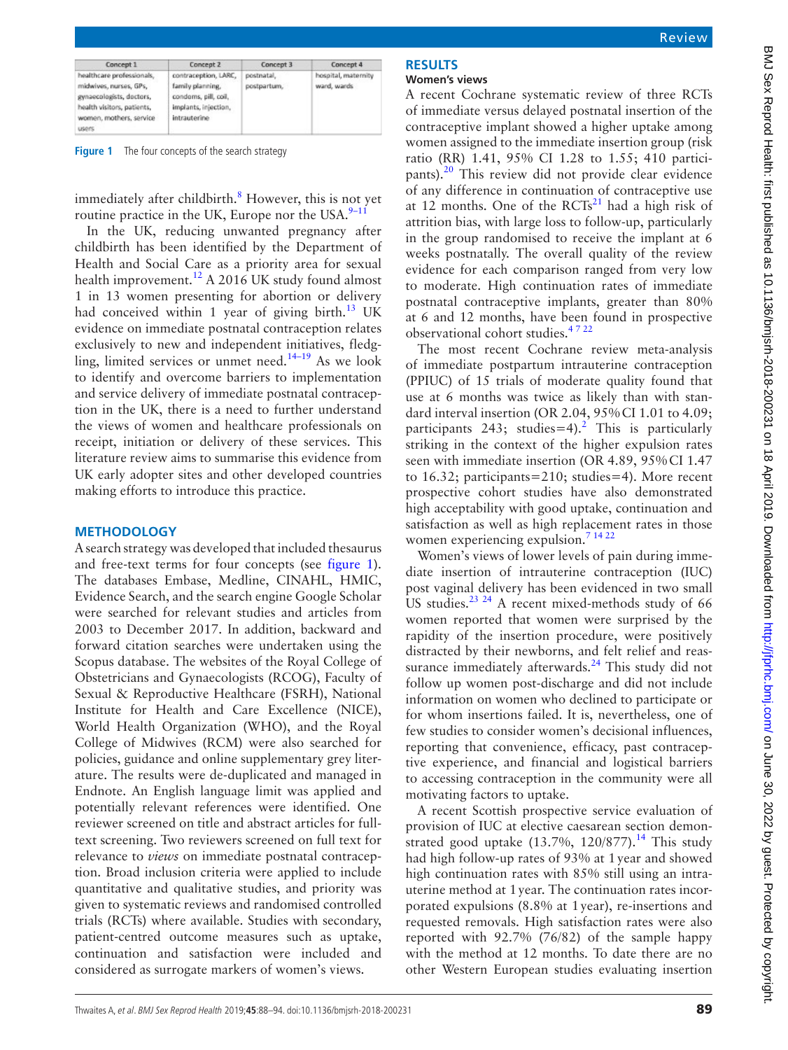| Concept 1                                                                                                                                         | Concept 2                                                                                                | Concept 3                 | Concept 4                          |
|---------------------------------------------------------------------------------------------------------------------------------------------------|----------------------------------------------------------------------------------------------------------|---------------------------|------------------------------------|
| healthcare professionals,<br>midwives, nurses, GPs,<br>gynaecologists, doctors,<br>health visitors, patients,<br>women, mothers, service<br>users | contraception, LARC,<br>family planning.<br>condams, pill, coil,<br>implants, injection,<br>intrauterine | postnatal,<br>postpartum, | hospital, maternity<br>ward, wards |

<span id="page-1-0"></span>**Figure 1** The four concepts of the search strategy

immediately after childbirth.<sup>8</sup> However, this is not yet routine practice in the UK, Europe nor the USA. $9-11$ 

In the UK, reducing unwanted pregnancy after childbirth has been identified by the Department of Health and Social Care as a priority area for sexual health improvement.<sup>[12](#page-5-4)</sup> A 2016 UK study found almost 1 in 13 women presenting for abortion or delivery had conceived within 1 year of giving birth. $13$  UK evidence on immediate postnatal contraception relates exclusively to new and independent initiatives, fledgling, limited services or unmet need.<sup>14-19</sup> As we look to identify and overcome barriers to implementation and service delivery of immediate postnatal contraception in the UK, there is a need to further understand the views of women and healthcare professionals on receipt, initiation or delivery of these services. This literature review aims to summarise this evidence from UK early adopter sites and other developed countries making efforts to introduce this practice.

### **Methodology**

A search strategy was developed that included thesaurus and free-text terms for four concepts (see [figure](#page-1-0) 1). The databases Embase, Medline, CINAHL, HMIC, Evidence Search, and the search engine Google Scholar were searched for relevant studies and articles from 2003 to December 2017. In addition, backward and forward citation searches were undertaken using the Scopus database. The websites of the Royal College of Obstetricians and Gynaecologists (RCOG), Faculty of Sexual & Reproductive Healthcare (FSRH), National Institute for Health and Care Excellence (NICE), World Health Organization (WHO), and the Royal College of Midwives (RCM) were also searched for policies, guidance and online [supplementary](https://dx.doi.org/10.1136/bmjsrh-2018-200231) grey literature. The results were de-duplicated and managed in Endnote. An English language limit was applied and potentially relevant references were identified. One reviewer screened on title and abstract articles for fulltext screening. Two reviewers screened on full text for relevance to *views* on immediate postnatal contraception. Broad inclusion criteria were applied to include quantitative and qualitative studies, and priority was given to systematic reviews and randomised controlled trials (RCTs) where available. Studies with secondary, patient-centred outcome measures such as uptake, continuation and satisfaction were included and considered as surrogate markers of women's views.

## **Results**

### **Women's views**

A recent Cochrane systematic review of three RCTs of immediate versus delayed postnatal insertion of the contraceptive implant showed a higher uptake among women assigned to the immediate insertion group (risk ratio (RR) 1.41, 95% CI 1.28 to 1.55; 410 participants).[20](#page-5-7) This review did not provide clear evidence of any difference in continuation of contraceptive use at 12 months. One of the  $RCTs^{21}$  $RCTs^{21}$  $RCTs^{21}$  had a high risk of attrition bias, with large loss to follow-up, particularly in the group randomised to receive the implant at 6 weeks postnatally. The overall quality of the review evidence for each comparison ranged from very low to moderate. High continuation rates of immediate postnatal contraceptive implants, greater than 80% at 6 and 12 months, have been found in prospective observational cohort studies. $4722$ 

The most recent Cochrane review meta-analysis of immediate postpartum intrauterine contraception (PPIUC) of 15 trials of moderate quality found that use at 6 months was twice as likely than with standard interval insertion (OR 2.04, 95%CI 1.01 to 4.09; participants [2](#page-5-0)43; studies=4).<sup>2</sup> This is particularly striking in the context of the higher expulsion rates seen with immediate insertion (OR 4.89, 95%CI 1.47 to 16.32; participants=210; studies=4). More recent prospective cohort studies have also demonstrated high acceptability with good uptake, continuation and satisfaction as well as high replacement rates in those women experiencing expulsion.<sup>7</sup> <sup>14 22</sup>

Women's views of lower levels of pain during immediate insertion of intrauterine contraception (IUC) post vaginal delivery has been evidenced in two small US studies.<sup>[23 24](#page-5-10)</sup> A recent mixed-methods study of 66 women reported that women were surprised by the rapidity of the insertion procedure, were positively distracted by their newborns, and felt relief and reassurance immediately afterwards. $^{24}$  $^{24}$  $^{24}$  This study did not follow up women post-discharge and did not include information on women who declined to participate or for whom insertions failed. It is, nevertheless, one of few studies to consider women's decisional influences, reporting that convenience, efficacy, past contraceptive experience, and financial and logistical barriers to accessing contraception in the community were all motivating factors to uptake.

A recent Scottish prospective service evaluation of provision of IUC at elective caesarean section demonstrated good uptake  $(13.7\%, 120/877).$ <sup>[14](#page-5-6)</sup> This study had high follow-up rates of 93% at 1year and showed high continuation rates with 85% still using an intrauterine method at 1year. The continuation rates incorporated expulsions (8.8% at 1year), re-insertions and requested removals. High satisfaction rates were also reported with 92.7% (76/82) of the sample happy with the method at 12 months. To date there are no other Western European studies evaluating insertion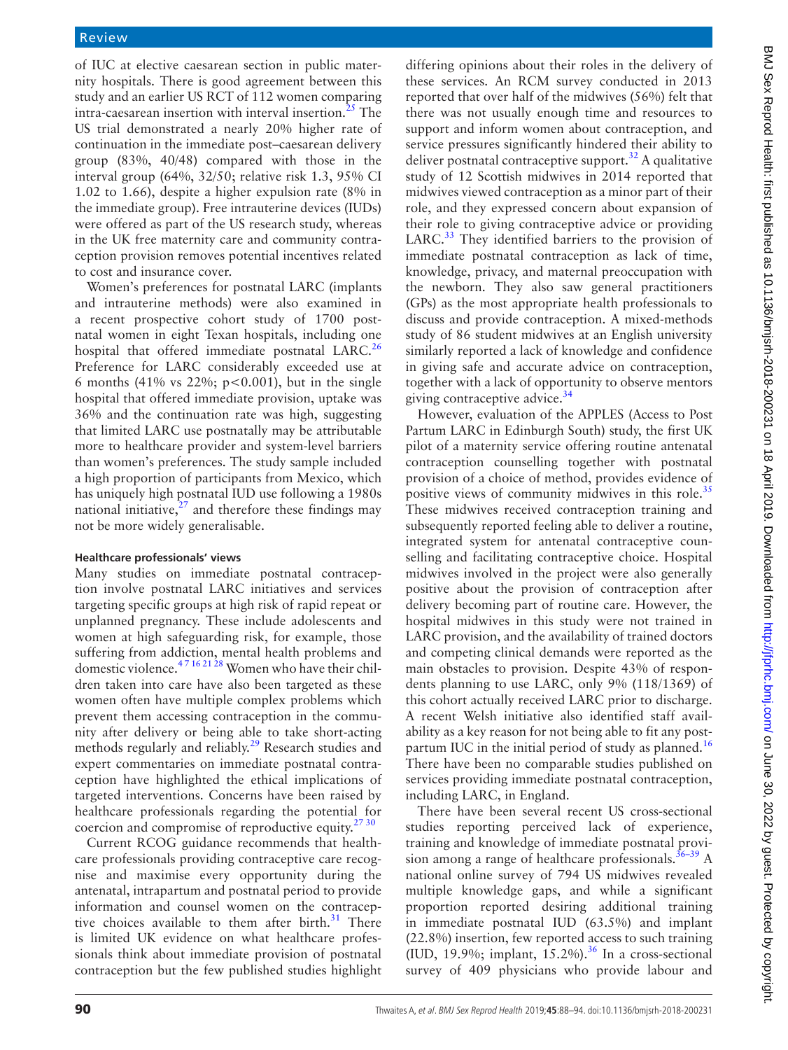of IUC at elective caesarean section in public maternity hospitals. There is good agreement between this study and an earlier US RCT of 112 women comparing intra-caesarean insertion with interval insertion.<sup>[25](#page-5-12)</sup> The US trial demonstrated a nearly 20% higher rate of continuation in the immediate post–caesarean delivery group (83%, 40/48) compared with those in the interval group (64%, 32/50; relative risk 1.3, 95% CI 1.02 to 1.66), despite a higher expulsion rate (8% in the immediate group). Free intrauterine devices (IUDs) were offered as part of the US research study, whereas in the UK free maternity care and community contraception provision removes potential incentives related to cost and insurance cover.

Women's preferences for postnatal LARC (implants and intrauterine methods) were also examined in a recent prospective cohort study of 1700 postnatal women in eight Texan hospitals, including one hospital that offered immediate postnatal LARC.<sup>26</sup> Preference for LARC considerably exceeded use at 6 months (41% vs 22%;  $p<0.001$ ), but in the single hospital that offered immediate provision, uptake was 36% and the continuation rate was high, suggesting that limited LARC use postnatally may be attributable more to healthcare provider and system-level barriers than women's preferences. The study sample included a high proportion of participants from Mexico, which has uniquely high postnatal IUD use following a 1980s national initiative, $2^7$  and therefore these findings may not be more widely generalisable.

### **Healthcare professionals' views**

Many studies on immediate postnatal contraception involve postnatal LARC initiatives and services targeting specific groups at high risk of rapid repeat or unplanned pregnancy. These include adolescents and women at high safeguarding risk, for example, those suffering from addiction, mental health problems and domestic violence.[4 7 16 21 28](#page-5-1) Women who have their children taken into care have also been targeted as these women often have multiple complex problems which prevent them accessing contraception in the community after delivery or being able to take short-acting methods regularly and reliably.<sup>29</sup> Research studies and expert commentaries on immediate postnatal contraception have highlighted the ethical implications of targeted interventions. Concerns have been raised by healthcare professionals regarding the potential for coercion and compromise of reproductive equity.<sup>27 30</sup>

Current RCOG guidance recommends that healthcare professionals providing contraceptive care recognise and maximise every opportunity during the antenatal, intrapartum and postnatal period to provide information and counsel women on the contraceptive choices available to them after birth. $31$  There is limited UK evidence on what healthcare professionals think about immediate provision of postnatal contraception but the few published studies highlight

differing opinions about their roles in the delivery of these services. An RCM survey conducted in 2013 reported that over half of the midwives (56%) felt that there was not usually enough time and resources to support and inform women about contraception, and service pressures significantly hindered their ability to deliver postnatal contraceptive support. $32$  A qualitative study of 12 Scottish midwives in 2014 reported that midwives viewed contraception as a minor part of their role, and they expressed concern about expansion of their role to giving contraceptive advice or providing LARC.<sup>33</sup> They identified barriers to the provision of immediate postnatal contraception as lack of time, knowledge, privacy, and maternal preoccupation with the newborn. They also saw general practitioners (GPs) as the most appropriate health professionals to discuss and provide contraception. A mixed-methods study of 86 student midwives at an English university similarly reported a lack of knowledge and confidence in giving safe and accurate advice on contraception, together with a lack of opportunity to observe mentors giving contraceptive advice.<sup>[34](#page-5-19)</sup>

However, evaluation of the APPLES (Access to Post Partum LARC in Edinburgh South) study, the first UK pilot of a maternity service offering routine antenatal contraception counselling together with postnatal provision of a choice of method, provides evidence of positive views of community midwives in this role.<sup>[35](#page-5-20)</sup> These midwives received contraception training and subsequently reported feeling able to deliver a routine, integrated system for antenatal contraceptive counselling and facilitating contraceptive choice. Hospital midwives involved in the project were also generally positive about the provision of contraception after delivery becoming part of routine care. However, the hospital midwives in this study were not trained in LARC provision, and the availability of trained doctors and competing clinical demands were reported as the main obstacles to provision. Despite 43% of respondents planning to use LARC, only 9% (118/1369) of this cohort actually received LARC prior to discharge. A recent Welsh initiative also identified staff availability as a key reason for not being able to fit any postpartum IUC in the initial period of study as planned.<sup>16</sup> There have been no comparable studies published on services providing immediate postnatal contraception, including LARC, in England.

There have been several recent US cross-sectional studies reporting perceived lack of experience, training and knowledge of immediate postnatal provision among a range of healthcare professionals.<sup>36-39</sup> A national online survey of 794 US midwives revealed multiple knowledge gaps, and while a significant proportion reported desiring additional training in immediate postnatal IUD (63.5%) and implant (22.8%) insertion, few reported access to such training (IUD, 19.9%; implant,  $15.2\%$ ).<sup>36</sup> In a cross-sectional survey of 409 physicians who provide labour and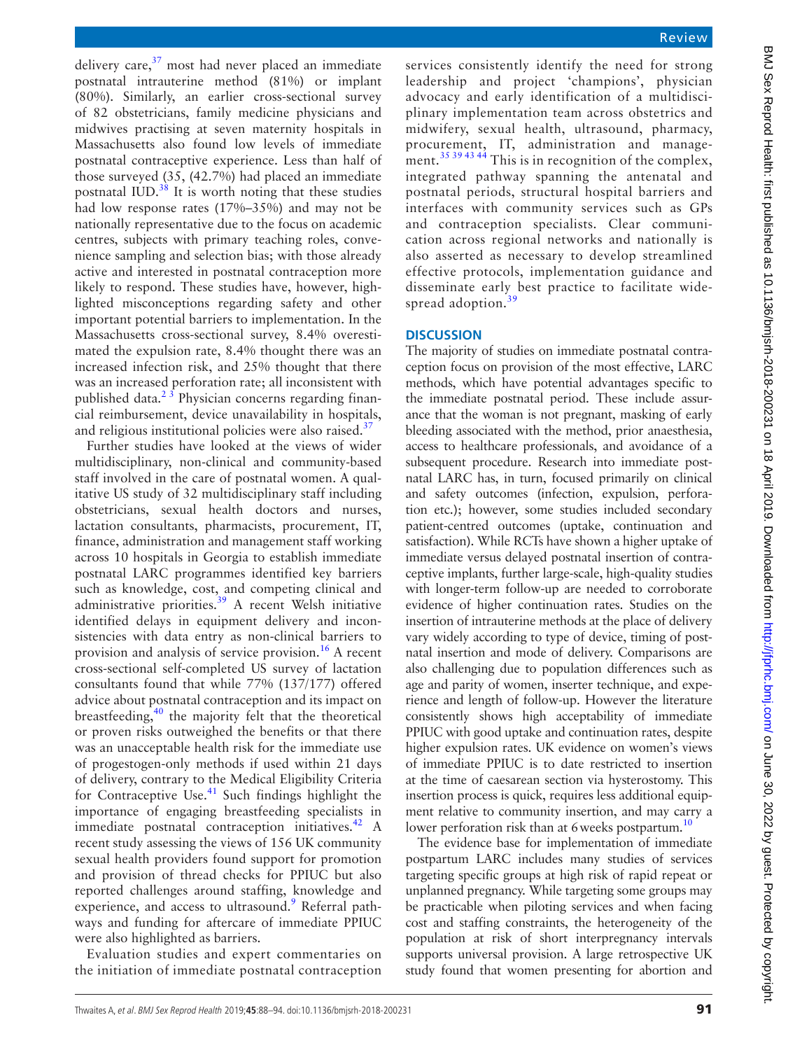delivery care, $37 \text{ most had never placed an immediate}$  $37 \text{ most had never placed an immediate}$ postnatal intrauterine method (81%) or implant (80%). Similarly, an earlier cross-sectional survey of 82 obstetricians, family medicine physicians and midwives practising at seven maternity hospitals in Massachusetts also found low levels of immediate postnatal contraceptive experience. Less than half of those surveyed (35, (42.7%) had placed an immediate postnatal IUD. $38$  It is worth noting that these studies had low response rates (17%–35%) and may not be nationally representative due to the focus on academic centres, subjects with primary teaching roles, convenience sampling and selection bias; with those already active and interested in postnatal contraception more likely to respond. These studies have, however, highlighted misconceptions regarding safety and other important potential barriers to implementation. In the Massachusetts cross-sectional survey, 8.4% overestimated the expulsion rate, 8.4% thought there was an increased infection risk, and 25% thought that there was an increased perforation rate; all inconsistent with published data. $2^3$  Physician concerns regarding financial reimbursement, device unavailability in hospitals, and religious institutional policies were also raised. $37$ 

Further studies have looked at the views of wider multidisciplinary, non-clinical and community-based staff involved in the care of postnatal women. A qualitative US study of 32 multidisciplinary staff including obstetricians, sexual health doctors and nurses, lactation consultants, pharmacists, procurement, IT, finance, administration and management staff working across 10 hospitals in Georgia to establish immediate postnatal LARC programmes identified key barriers such as knowledge, cost, and competing clinical and administrative priorities. $39$  A recent Welsh initiative identified delays in equipment delivery and inconsistencies with data entry as non-clinical barriers to provision and analysis of service provision.<sup>[16](#page-5-21)</sup> A recent cross-sectional self-completed US survey of lactation consultants found that while 77% (137/177) offered advice about postnatal contraception and its impact on breastfeeding, $40$  the majority felt that the theoretical or proven risks outweighed the benefits or that there was an unacceptable health risk for the immediate use of progestogen-only methods if used within 21 days of delivery, contrary to the Medical Eligibility Criteria for Contraceptive Use. $41$  Such findings highlight the importance of engaging breastfeeding specialists in immediate postnatal contraception initiatives.<sup>[42](#page-6-4)</sup> A recent study assessing the views of 156 UK community sexual health providers found support for promotion and provision of thread checks for PPIUC but also reported challenges around staffing, knowledge and experience, and access to ultrasound.<sup>[9](#page-5-3)</sup> Referral pathways and funding for aftercare of immediate PPIUC were also highlighted as barriers.

Evaluation studies and expert commentaries on the initiation of immediate postnatal contraception

services consistently identify the need for strong leadership and project 'champions', physician advocacy and early identification of a multidisciplinary implementation team across obstetrics and midwifery, sexual health, ultrasound, pharmacy, procurement, IT, administration and management.<sup>35 39 43 44</sup> This is in recognition of the complex, integrated pathway spanning the antenatal and postnatal periods, structural hospital barriers and interfaces with community services such as GPs and contraception specialists. Clear communication across regional networks and nationally is also asserted as necessary to develop streamlined effective protocols, implementation guidance and disseminate early best practice to facilitate wide-spread adoption.<sup>[39](#page-6-1)</sup>

### **Discussion**

The majority of studies on immediate postnatal contraception focus on provision of the most effective, LARC methods, which have potential advantages specific to the immediate postnatal period. These include assurance that the woman is not pregnant, masking of early bleeding associated with the method, prior anaesthesia, access to healthcare professionals, and avoidance of a subsequent procedure. Research into immediate postnatal LARC has, in turn, focused primarily on clinical and safety outcomes (infection, expulsion, perforation etc.); however, some studies included secondary patient-centred outcomes (uptake, continuation and satisfaction). While RCTs have shown a higher uptake of immediate versus delayed postnatal insertion of contraceptive implants, further large-scale, high-quality studies with longer-term follow-up are needed to corroborate evidence of higher continuation rates. Studies on the insertion of intrauterine methods at the place of delivery vary widely according to type of device, timing of postnatal insertion and mode of delivery. Comparisons are also challenging due to population differences such as age and parity of women, inserter technique, and experience and length of follow-up. However the literature consistently shows high acceptability of immediate PPIUC with good uptake and continuation rates, despite higher expulsion rates. UK evidence on women's views of immediate PPIUC is to date restricted to insertion at the time of caesarean section via hysterostomy. This insertion process is quick, requires less additional equipment relative to community insertion, and may carry a lower perforation risk than at 6 weeks postpartum.<sup>10</sup>

The evidence base for implementation of immediate postpartum LARC includes many studies of services targeting specific groups at high risk of rapid repeat or unplanned pregnancy. While targeting some groups may be practicable when piloting services and when facing cost and staffing constraints, the heterogeneity of the population at risk of short interpregnancy intervals supports universal provision. A large retrospective UK study found that women presenting for abortion and

BMJ Sex Reprod Health: first published as 10.1136/bnjsrh-2018-200231 on 18 April 2019. Downloaded from http://jphc.bmj.com/ on June 30, 2022 by guest. Protected by copyright. BMJ Sex Reprod Health: first published as 10.1136/bmjsrh-200231 on 18 April 2019. Downloaded from http://jtprhc.bmj.com/ BMJ Sex Reprod By copyright: first published as 10.1136/bmjsrh-200231 on 18 April 2019. Downloaded fr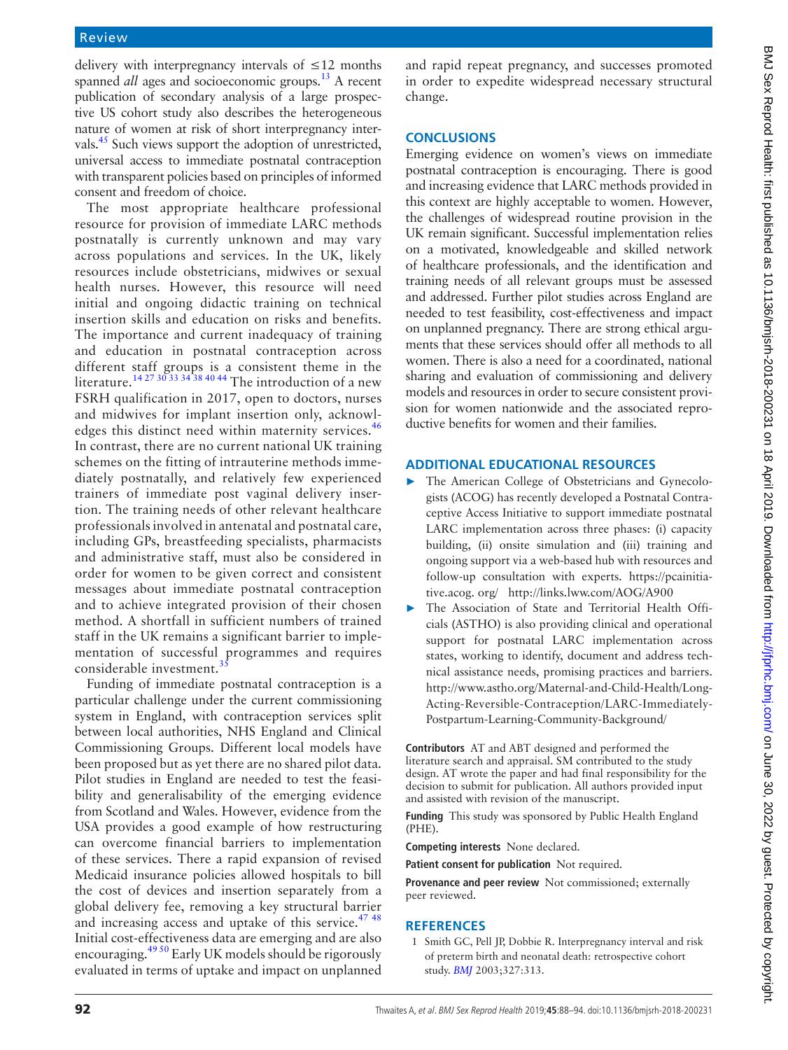delivery with interpregnancy intervals of ≤12 months spanned *all* ages and socioeconomic groups.<sup>13</sup> A recent publication of secondary analysis of a large prospective US cohort study also describes the heterogeneous nature of women at risk of short interpregnancy intervals.<sup>45</sup> Such views support the adoption of unrestricted, universal access to immediate postnatal contraception with transparent policies based on principles of informed consent and freedom of choice.

The most appropriate healthcare professional resource for provision of immediate LARC methods postnatally is currently unknown and may vary across populations and services. In the UK, likely resources include obstetricians, midwives or sexual health nurses. However, this resource will need initial and ongoing didactic training on technical insertion skills and education on risks and benefits. The importance and current inadequacy of training and education in postnatal contraception across different staff groups is a consistent theme in the literature.<sup>14 27 30 33 34</sup> 38 40 44 The introduction of a new FSRH qualification in 2017, open to doctors, nurses and midwives for implant insertion only, acknowl-edges this distinct need within maternity services.<sup>[46](#page-6-6)</sup> In contrast, there are no current national UK training schemes on the fitting of intrauterine methods immediately postnatally, and relatively few experienced trainers of immediate post vaginal delivery insertion. The training needs of other relevant healthcare professionals involved in antenatal and postnatal care, including GPs, breastfeeding specialists, pharmacists and administrative staff, must also be considered in order for women to be given correct and consistent messages about immediate postnatal contraception and to achieve integrated provision of their chosen method. A shortfall in sufficient numbers of trained staff in the UK remains a significant barrier to implementation of successful programmes and requires considerable investment. $35$ 

Funding of immediate postnatal contraception is a particular challenge under the current commissioning system in England, with contraception services split between local authorities, NHS England and Clinical Commissioning Groups. Different local models have been proposed but as yet there are no shared pilot data. Pilot studies in England are needed to test the feasibility and generalisability of the emerging evidence from Scotland and Wales. However, evidence from the USA provides a good example of how restructuring can overcome financial barriers to implementation of these services. There a rapid expansion of revised Medicaid insurance policies allowed hospitals to bill the cost of devices and insertion separately from a global delivery fee, removing a key structural barrier and increasing access and uptake of this service.<sup>[47 48](#page-6-7)</sup> Initial cost-effectiveness data are emerging and are also encouraging.<sup>49 50</sup> Early UK models should be rigorously evaluated in terms of uptake and impact on unplanned

and rapid repeat pregnancy, and successes promoted in order to expedite widespread necessary structural change.

### **Conclusions**

Emerging evidence on women's views on immediate postnatal contraception is encouraging. There is good and increasing evidence that LARC methods provided in this context are highly acceptable to women. However, the challenges of widespread routine provision in the UK remain significant. Successful implementation relies on a motivated, knowledgeable and skilled network of healthcare professionals, and the identification and training needs of all relevant groups must be assessed and addressed. Further pilot studies across England are needed to test feasibility, cost-effectiveness and impact on unplanned pregnancy. There are strong ethical arguments that these services should offer all methods to all women. There is also a need for a coordinated, national sharing and evaluation of commissioning and delivery models and resources in order to secure consistent provision for women nationwide and the associated reproductive benefits for women and their families.

### **Additional educational resources**

- ► The American College of Obstetricians and Gynecologists (ACOG) has recently developed a Postnatal Contraceptive Access Initiative to support immediate postnatal LARC implementation across three phases: (i) capacity building, (ii) onsite simulation and (iii) training and ongoing support via a web-based hub with resources and follow-up consultation with experts. [https://pcainitia](https://pcainitiative.acog.org/)[tive.acog. org/](https://pcainitiative.acog.org/) <http://links.lww.com/AOG/A900>
- The Association of State and Territorial Health Officials (ASTHO) is also providing clinical and operational support for postnatal LARC implementation across states, working to identify, document and address technical assistance needs, promising practices and barriers. http://www.astho.org/Maternal-and-Child-Health/Long-Acting-Reversible-Contraception/LARC-Immediately-Postpartum-Learning-Community-Background/

**Contributors** AT and ABT designed and performed the literature search and appraisal. SM contributed to the study design. AT wrote the paper and had final responsibility for the decision to submit for publication. All authors provided input and assisted with revision of the manuscript.

**Funding** This study was sponsored by Public Health England (PHE).

**Competing interests** None declared.

**Patient consent for publication** Not required.

**Provenance and peer review** Not commissioned; externally peer reviewed.

### **References**

<span id="page-4-0"></span>1 Smith GC, Pell JP, Dobbie R. Interpregnancy interval and risk of preterm birth and neonatal death: retrospective cohort study. *[BMJ](http://dx.doi.org/10.1136/bmj.327.7410.313)* 2003;327:313.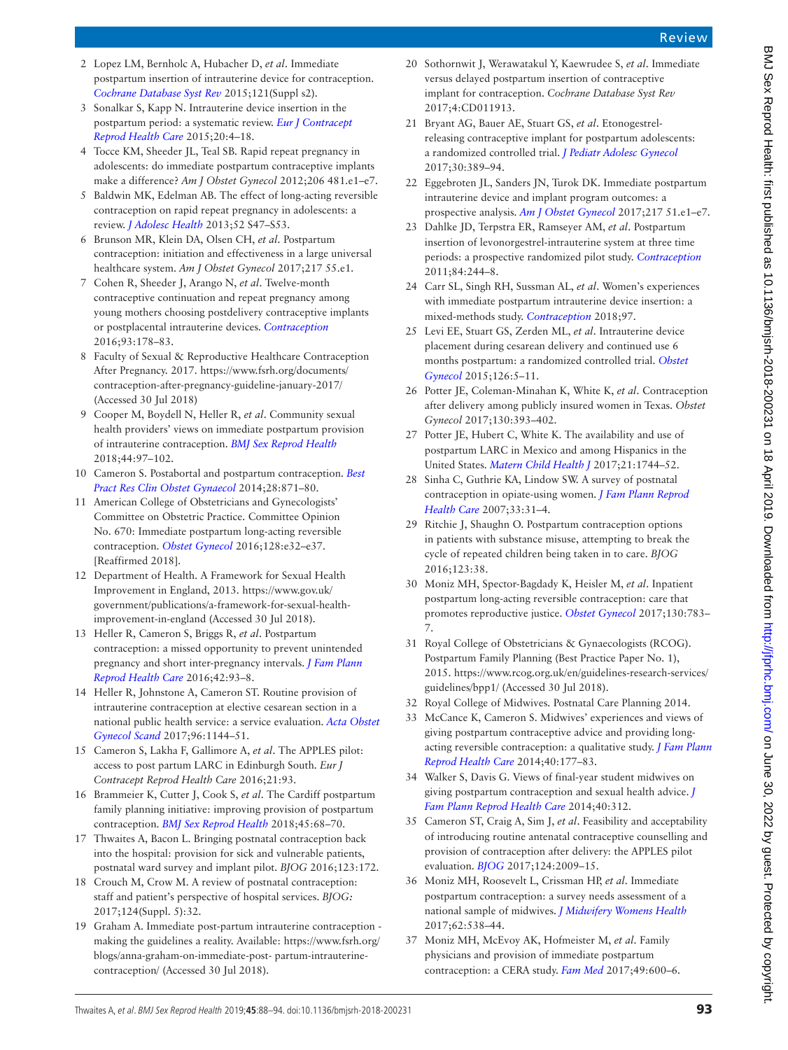Review

- <span id="page-5-0"></span>2 Lopez LM, Bernholc A, Hubacher D, *et al*. Immediate postpartum insertion of intrauterine device for contraception. *[Cochrane Database Syst Rev](http://dx.doi.org/10.1002/14651858.CD003036.pub3)* 2015;121(Suppl s2).
- 3 Sonalkar S, Kapp N. Intrauterine device insertion in the postpartum period: a systematic review. *[Eur J Contracept](http://dx.doi.org/10.3109/13625187.2014.971454)  [Reprod Health Care](http://dx.doi.org/10.3109/13625187.2014.971454)* 2015;20:4–18.
- <span id="page-5-1"></span>4 Tocce KM, Sheeder JL, Teal SB. Rapid repeat pregnancy in adolescents: do immediate postpartum contraceptive implants make a difference? *Am J Obstet Gynecol* 2012;206 481.e1–e7.
- 5 Baldwin MK, Edelman AB. The effect of long-acting reversible contraception on rapid repeat pregnancy in adolescents: a review. *[J Adolesc Health](http://dx.doi.org/10.1016/j.jadohealth.2012.10.278)* 2013;52 S47–S53.
- 6 Brunson MR, Klein DA, Olsen CH, *et al*. Postpartum contraception: initiation and effectiveness in a large universal healthcare system. *Am J Obstet Gynecol* 2017;217 55.e1.
- <span id="page-5-9"></span>7 Cohen R, Sheeder J, Arango N, *et al*. Twelve-month contraceptive continuation and repeat pregnancy among young mothers choosing postdelivery contraceptive implants or postplacental intrauterine devices. *[Contraception](http://dx.doi.org/10.1016/j.contraception.2015.10.001)* 2016;93:178–83.
- <span id="page-5-2"></span>8 Faculty of Sexual & Reproductive Healthcare Contraception After Pregnancy. 2017. [https://www.fsrh.org/documents/](https://www.fsrh.org/documents/contraception-after-pregnancy-guideline-january-2017/) [contraception-after-pregnancy-guideline-january-2017/](https://www.fsrh.org/documents/contraception-after-pregnancy-guideline-january-2017/)  (Accessed 30 Jul 2018)
- <span id="page-5-3"></span>9 Cooper M, Boydell N, Heller R, *et al*. Community sexual health providers' views on immediate postpartum provision of intrauterine contraception. *[BMJ Sex Reprod Health](http://dx.doi.org/10.1136/bmjsrh-2017-101905)* 2018;44:97–102.
- <span id="page-5-24"></span>10 Cameron S. Postabortal and postpartum contraception. *[Best](http://dx.doi.org/10.1016/j.bpobgyn.2014.05.007)  [Pract Res Clin Obstet Gynaecol](http://dx.doi.org/10.1016/j.bpobgyn.2014.05.007)* 2014;28:871–80.
- 11 American College of Obstetricians and Gynecologists' Committee on Obstetric Practice. Committee Opinion No. 670: Immediate postpartum long-acting reversible contraception. *[Obstet Gynecol](http://dx.doi.org/10.1097/AOG.0000000000001587)* 2016;128:e32–e37. [Reaffirmed 2018].
- <span id="page-5-4"></span>12 Department of Health. A Framework for Sexual Health Improvement in England, 2013. [https://www.gov.uk/](https://www.gov.uk/government/publications/a-framework-for-sexual-health-improvement-in-england) [government/publications/a-framework-for-sexual-health](https://www.gov.uk/government/publications/a-framework-for-sexual-health-improvement-in-england)[improvement-in-england](https://www.gov.uk/government/publications/a-framework-for-sexual-health-improvement-in-england) (Accessed 30 Jul 2018).
- <span id="page-5-5"></span>13 Heller R, Cameron S, Briggs R, *et al*. Postpartum contraception: a missed opportunity to prevent unintended pregnancy and short inter-pregnancy intervals. *[J Fam Plann](http://dx.doi.org/10.1136/jfprhc-2014-101165)  [Reprod Health Care](http://dx.doi.org/10.1136/jfprhc-2014-101165)* 2016;42:93–8.
- <span id="page-5-6"></span>14 Heller R, Johnstone A, Cameron ST. Routine provision of intrauterine contraception at elective cesarean section in a national public health service: a service evaluation. *[Acta Obstet](http://dx.doi.org/10.1111/aogs.13178)  [Gynecol Scand](http://dx.doi.org/10.1111/aogs.13178)* 2017;96:1144–51.
- 15 Cameron S, Lakha F, Gallimore A, *et al*. The APPLES pilot: access to post partum LARC in Edinburgh South. *Eur J Contracept Reprod Health Care* 2016;21:93.
- <span id="page-5-21"></span>16 Brammeier K, Cutter J, Cook S, *et al*. The Cardiff postpartum family planning initiative: improving provision of postpartum contraception. *[BMJ Sex Reprod Health](http://dx.doi.org/10.1136/bmjsrh-2017-101924)* 2018;45:68–70.
- 17 Thwaites A, Bacon L. Bringing postnatal contraception back into the hospital: provision for sick and vulnerable patients, postnatal ward survey and implant pilot. *BJOG* 2016;123:172.
- 18 Crouch M, Crow M. A review of postnatal contraception: staff and patient's perspective of hospital services. *BJOG:* 2017;124(Suppl. 5):32.
- 19 Graham A. Immediate post-partum intrauterine contraception making the guidelines a reality. Available: [https://www.fsrh.org/](https://www.fsrh.org/blogs/anna-graham-on-immediate-post-%20partum-intrauterine-contraception/) [blogs/anna-graham-on-immediate-post- partum-intrauterine](https://www.fsrh.org/blogs/anna-graham-on-immediate-post-%20partum-intrauterine-contraception/)[contraception/](https://www.fsrh.org/blogs/anna-graham-on-immediate-post-%20partum-intrauterine-contraception/) (Accessed 30 Jul 2018).
- <span id="page-5-7"></span>20 Sothornwit J, Werawatakul Y, Kaewrudee S, *et al*. Immediate versus delayed postpartum insertion of contraceptive implant for contraception. *Cochrane Database Syst Rev* 2017;4:CD011913.
- <span id="page-5-8"></span>21 Bryant AG, Bauer AE, Stuart GS, *et al*. Etonogestrelreleasing contraceptive implant for postpartum adolescents: a randomized controlled trial. *[J Pediatr Adolesc Gynecol](http://dx.doi.org/10.1016/j.jpag.2016.08.003)* 2017;30:389–94.
- 22 Eggebroten JL, Sanders JN, Turok DK. Immediate postpartum intrauterine device and implant program outcomes: a prospective analysis. *[Am J Obstet Gynecol](http://dx.doi.org/10.1016/j.ajog.2017.03.015)* 2017;217 51.e1–e7.
- <span id="page-5-10"></span>23 Dahlke JD, Terpstra ER, Ramseyer AM, *et al*. Postpartum insertion of levonorgestrel-intrauterine system at three time periods: a prospective randomized pilot study. *[Contraception](http://dx.doi.org/10.1016/j.contraception.2011.01.007)* 2011;84:244–8.
- <span id="page-5-11"></span>24 Carr SL, Singh RH, Sussman AL, *et al*. Women's experiences with immediate postpartum intrauterine device insertion: a mixed-methods study. *[Contraception](http://dx.doi.org/10.1016/j.contraception.2017.10.008)* 2018;97.
- <span id="page-5-12"></span>25 Levi EE, Stuart GS, Zerden ML, *et al*. Intrauterine device placement during cesarean delivery and continued use 6 months postpartum: a randomized controlled trial. *[Obstet](http://dx.doi.org/10.1097/AOG.0000000000000882)  [Gynecol](http://dx.doi.org/10.1097/AOG.0000000000000882)* 2015;126:5–11.
- <span id="page-5-13"></span>26 Potter JE, Coleman-Minahan K, White K, *et al*. Contraception after delivery among publicly insured women in Texas. *Obstet Gynecol* 2017;130:393–402.
- <span id="page-5-14"></span>27 Potter JE, Hubert C, White K. The availability and use of postpartum LARC in Mexico and among Hispanics in the United States. *[Matern Child Health J](http://dx.doi.org/10.1007/s10995-016-2179-6)* 2017;21:1744–52.
- 28 Sinha C, Guthrie KA, Lindow SW. A survey of postnatal contraception in opiate-using women. *[J Fam Plann Reprod](http://dx.doi.org/10.1783/147118907779399738)  [Health Care](http://dx.doi.org/10.1783/147118907779399738)* 2007;33:31–4.
- <span id="page-5-15"></span>29 Ritchie J, Shaughn O. Postpartum contraception options in patients with substance misuse, attempting to break the cycle of repeated children being taken in to care. *BJOG* 2016;123:38.
- 30 Moniz MH, Spector-Bagdady K, Heisler M, *et al*. Inpatient postpartum long-acting reversible contraception: care that promotes reproductive justice. *[Obstet Gynecol](http://dx.doi.org/10.1097/AOG.0000000000002262)* 2017;130:783– 7.
- <span id="page-5-16"></span>31 Royal College of Obstetricians & Gynaecologists (RCOG). Postpartum Family Planning (Best Practice Paper No. 1), 2015. [https://www.rcog.org.uk/en/guidelines-research-services/](https://www.rcog.org.uk/en/guidelines-research-services/guidelines/bpp1/) [guidelines/bpp1/](https://www.rcog.org.uk/en/guidelines-research-services/guidelines/bpp1/) (Accessed 30 Jul 2018).
- <span id="page-5-17"></span>32 Royal College of Midwives. Postnatal Care Planning 2014.
- <span id="page-5-18"></span>33 McCance K, Cameron S. Midwives' experiences and views of giving postpartum contraceptive advice and providing longacting reversible contraception: a qualitative study. *[J Fam Plann](http://dx.doi.org/10.1136/jfprhc-2013-100770)  [Reprod Health Care](http://dx.doi.org/10.1136/jfprhc-2013-100770)* 2014;40:177–83.
- <span id="page-5-19"></span>34 Walker S, Davis G. Views of final-year student midwives on giving postpartum contraception and sexual health advice. *[J](http://dx.doi.org/10.1136/jfprhc-2014-101028)  [Fam Plann Reprod Health Care](http://dx.doi.org/10.1136/jfprhc-2014-101028)* 2014;40:312.
- <span id="page-5-20"></span>35 Cameron ST, Craig A, Sim J, *et al*. Feasibility and acceptability of introducing routine antenatal contraceptive counselling and provision of contraception after delivery: the APPLES pilot evaluation. *[BJOG](http://dx.doi.org/10.1111/1471-0528.14674)* 2017;124:2009–15.
- <span id="page-5-22"></span>36 Moniz MH, Roosevelt L, Crissman HP, *et al*. Immediate postpartum contraception: a survey needs assessment of a national sample of midwives. *[J Midwifery Womens Health](http://dx.doi.org/10.1111/jmwh.12653)* 2017;62:538–44.
- <span id="page-5-23"></span>37 Moniz MH, McEvoy AK, Hofmeister M, *et al*. Family physicians and provision of immediate postpartum contraception: a CERA study. *[Fam Med](http://www.ncbi.nlm.nih.gov/pubmed/28953291)* 2017;49:600–6.